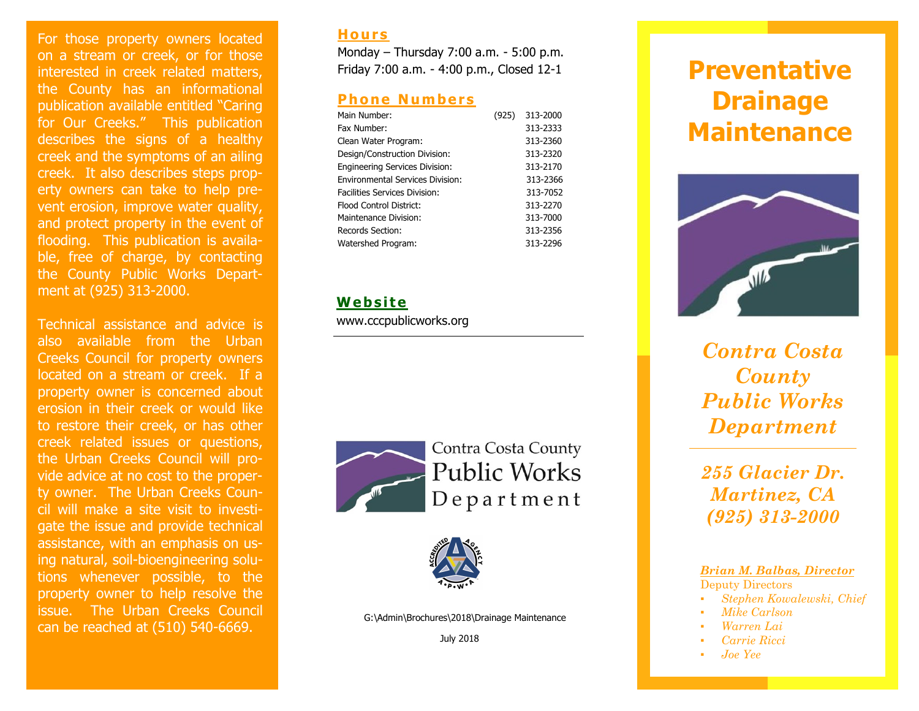For those property owners located on a stream or creek, or for those interested in creek related matters, the County has an informational publication available entitled "Caring for Our Creeks." This publication describes the signs of a healthy creek and the symptoms of an ailing creek. It also describes steps property owners can take to help prevent erosion, improve water quality, and protect property in the event of flooding. This publication is available, free of charge, by contacting the County Public Works Department at (925) 313-2000.

Technical assistance and advice is also available from the Urban Creeks Council for property owners located on a stream or creek. If a property owner is concerned about erosion in their creek or would like to restore their creek, or has other creek related issues or questions, the Urban Creeks Council will provide advice at no cost to the property owner. The Urban Creeks Council will make a site visit to investigate the issue and provide technical assistance, with an emphasis on using natural, soil-bioengineering solutions whenever possible, to the property owner to help resolve the issue. The Urban Creeks Council can be reached at (510) 540 -6669.

#### **Ho u r s**

Monday – Thursday 7:00 a.m. - 5:00 p.m. Friday 7:00 a.m. - 4:00 p.m., Closed 12 - 1

### **Phone Numbers**

| (925) | 313-2000 |
|-------|----------|
|       | 313-2333 |
|       | 313-2360 |
|       | 313-2320 |
|       | 313-2170 |
|       | 313-2366 |
|       | 313-7052 |
|       | 313-2270 |
|       | 313-7000 |
|       | 313-2356 |
|       | 313-2296 |
|       |          |

## **W eb si t e**

www.cccpublicworks.org



Contra Costa County **Public Works** Department



G:\Admin\Brochures\2018\Drainage Maintenance

July 2018

# **Preventative Drainage Maintenance**



*Contra Costa County Public Works Department*

*255 Glacier Dr. Martinez, CA (925) 313-2000*

*Brian M. Balbas, Director*

Deputy Directors

- *Stephen Kowalewski, Chief*
- *Mike Carlson*
- *Warren Lai*
- *Carrie Ricci*
- *Joe Yee*